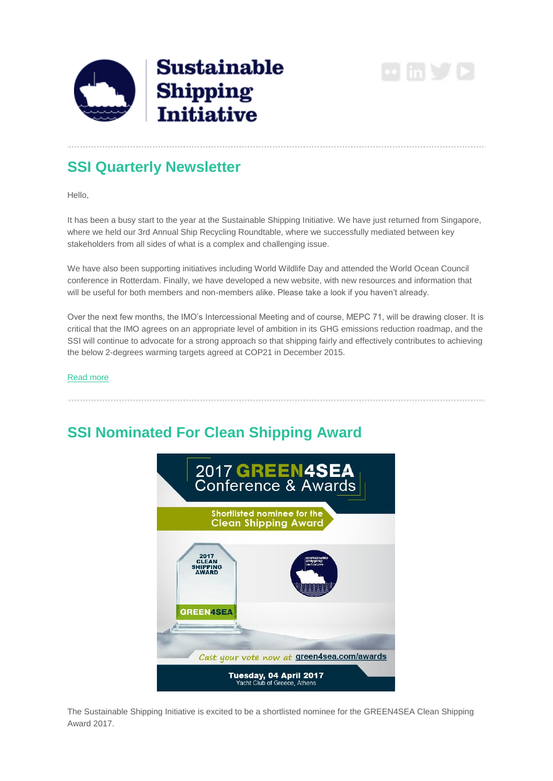**Sustainable Shipping Initiative** 

 $\omega$  in  $\vee$   $\triangleright$ 

### **SSI Quarterly Newsletter**

Hello,

It has been a busy start to the year at the Sustainable Shipping Initiative. We have just returned from Singapore, where we held our 3rd Annual Ship Recycling Roundtable, where we successfully mediated between key stakeholders from all sides of what is a complex and challenging issue.

We have also been supporting initiatives including World Wildlife Day and attended the World Ocean Council conference in Rotterdam. Finally, we have developed a new website, with new resources and information that will be useful for both members and non-members alike. Please take a look if you haven't already.

Over the next few months, the IMO's Intercessional Meeting and of course, MEPC 71, will be drawing closer. It is critical that the IMO agrees on an appropriate level of ambition in its GHG emissions reduction roadmap, and the SSI will continue to advocate for a strong approach so that shipping fairly and effectively contributes to achieving the below 2-degrees warming targets agreed at COP21 in December 2015.

### [Read more](http://ssi2040.us14.list-manage1.com/track/click?u=91589a575aa721fdb318d4c42&id=4d1b409748&e=7cdcdcd64a)

# **SSI Nominated For Clean Shipping Award**



The Sustainable Shipping Initiative is excited to be a shortlisted nominee for the GREEN4SEA Clean Shipping Award 2017.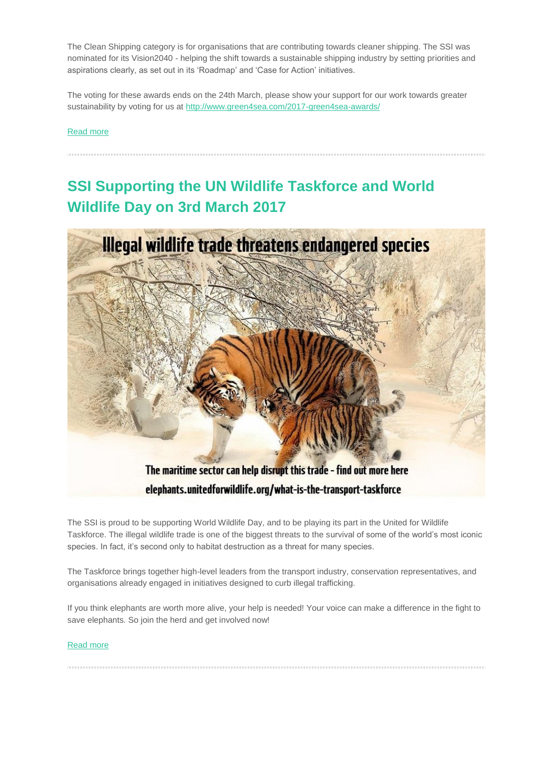The Clean Shipping category is for organisations that are contributing towards cleaner shipping. The SSI was nominated for its Vision2040 - helping the shift towards a sustainable shipping industry by setting priorities and aspirations clearly, as set out in its 'Roadmap' and 'Case for Action' initiatives.

The voting for these awards ends on the 24th March, please show your support for our work towards greater sustainability by voting for us at [http://www.green4sea.com/2017-green4sea-awards/](http://ssi2040.us14.list-manage.com/track/click?u=91589a575aa721fdb318d4c42&id=5aaa3d3180&e=7cdcdcd64a)

### [Read more](http://ssi2040.us14.list-manage.com/track/click?u=91589a575aa721fdb318d4c42&id=7ec5a48455&e=7cdcdcd64a)

# **SSI Supporting the UN Wildlife Taskforce and World Wildlife Day on 3rd March 2017**



The SSI is proud to be supporting World Wildlife Day, and to be playing its part in the United for Wildlife Taskforce. The illegal wildlife trade is one of the biggest threats to the survival of some of the world's most iconic species. In fact, it's second only to habitat destruction as a threat for many species.

The Taskforce brings together high-level leaders from the transport industry, conservation representatives, and organisations already engaged in initiatives designed to curb illegal trafficking.

If you think elephants are worth more alive, your help is needed! Your voice can make a difference in the fight to save elephants. So join the herd and get involved now!

#### [Read more](http://ssi2040.us14.list-manage2.com/track/click?u=91589a575aa721fdb318d4c42&id=e72b318037&e=7cdcdcd64a)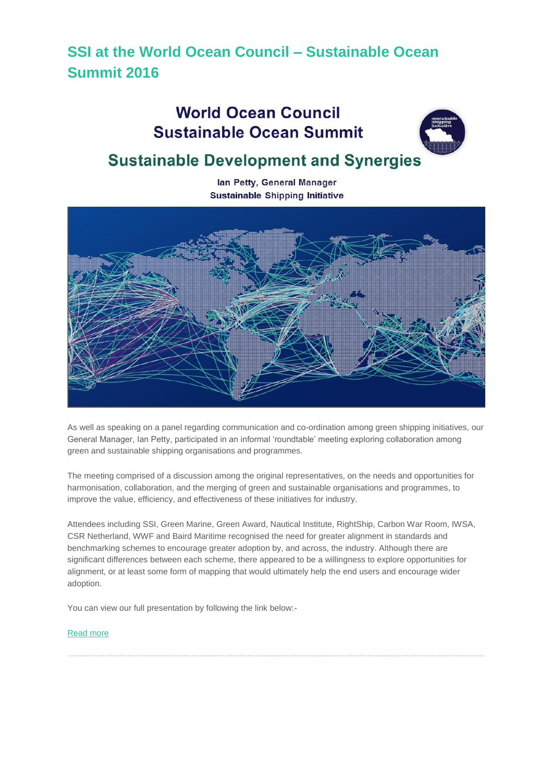# **SSI at the World Ocean Council – Sustainable Ocean Summit 2016**

# **World Ocean Council Sustainable Ocean Summit**



# **Sustainable Development and Synergies**

lan Petty, General Manager **Sustainable Shipping Initiative** 



As well as speaking on a panel regarding communication and co-ordination among green shipping initiatives, our General Manager, Ian Petty, participated in an informal 'roundtable' meeting exploring collaboration among green and sustainable shipping organisations and programmes.

The meeting comprised of a discussion among the original representatives, on the needs and opportunities for harmonisation, collaboration, and the merging of green and sustainable organisations and programmes, to improve the value, efficiency, and effectiveness of these initiatives for industry.

Attendees including SSI, Green Marine, Green Award, Nautical Institute, RightShip, Carbon War Room, IWSA, CSR Netherland, WWF and Baird Maritime recognised the need for greater alignment in standards and benchmarking schemes to encourage greater adoption by, and across, the industry. Although there are significant differences between each scheme, there appeared to be a willingness to explore opportunities for alignment, or at least some form of mapping that would ultimately help the end users and encourage wider adoption.

You can view our full presentation by following the link below:-

### [Read more](http://ssi2040.us14.list-manage.com/track/click?u=91589a575aa721fdb318d4c42&id=4ff8465b56&e=7cdcdcd64a)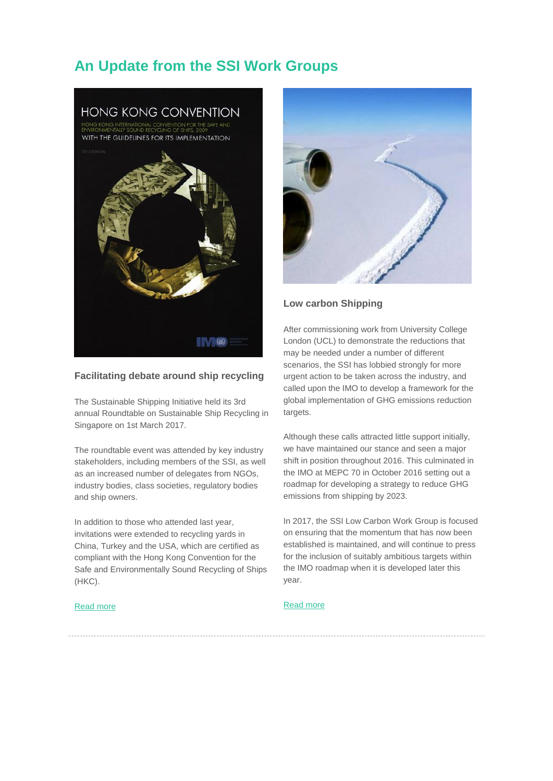### **An Update from the SSI Work Groups**



### **Facilitating debate around ship recycling**

The Sustainable Shipping Initiative held its 3rd annual Roundtable on Sustainable Ship Recycling in Singapore on 1st March 2017.

The roundtable event was attended by key industry stakeholders, including members of the SSI, as well as an increased number of delegates from NGOs, industry bodies, class societies, regulatory bodies and ship owners.

In addition to those who attended last year, invitations were extended to recycling yards in China, Turkey and the USA, which are certified as compliant with the Hong Kong Convention for the Safe and Environmentally Sound Recycling of Ships (HKC).

#### [Read more](http://ssi2040.us14.list-manage.com/track/click?u=91589a575aa721fdb318d4c42&id=303e857c67&e=7cdcdcd64a)



### **Low carbon Shipping**

After commissioning work from University College London (UCL) to demonstrate the reductions that may be needed under a number of different scenarios, the SSI has lobbied strongly for more urgent action to be taken across the industry, and called upon the IMO to develop a framework for the global implementation of GHG emissions reduction targets.

Although these calls attracted little support initially, we have maintained our stance and seen a major shift in position throughout 2016. This culminated in the IMO at MEPC 70 in October 2016 setting out a roadmap for developing a strategy to reduce GHG emissions from shipping by 2023.

In 2017, the SSI Low Carbon Work Group is focused on ensuring that the momentum that has now been established is maintained, and will continue to press for the inclusion of suitably ambitious targets within the IMO roadmap when it is developed later this year.

### [Read more](http://ssi2040.us14.list-manage.com/track/click?u=91589a575aa721fdb318d4c42&id=7a7660e3cd&e=7cdcdcd64a)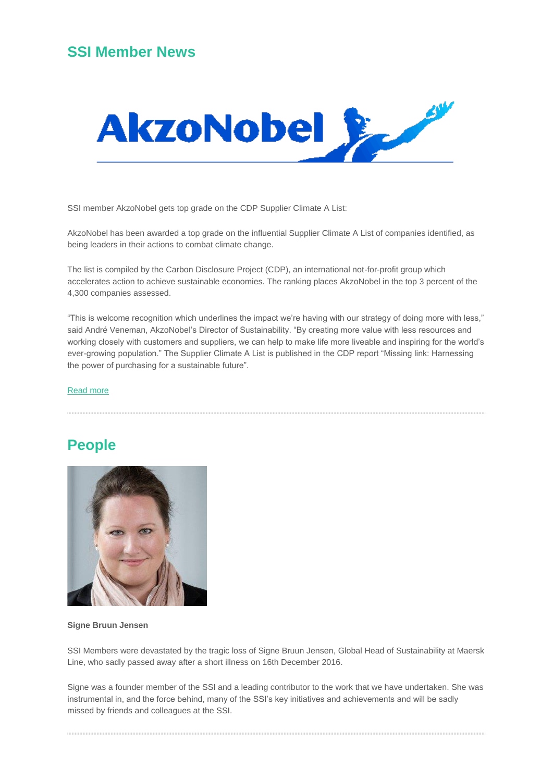### **SSI Member News**



SSI member AkzoNobel gets top grade on the CDP Supplier Climate A List:

AkzoNobel has been awarded a top grade on the influential Supplier Climate A List of companies identified, as being leaders in their actions to combat climate change.

The list is compiled by the Carbon Disclosure Project (CDP), an international not-for-profit group which accelerates action to achieve sustainable economies. The ranking places AkzoNobel in the top 3 percent of the 4,300 companies assessed.

"This is welcome recognition which underlines the impact we're having with our strategy of doing more with less," said André Veneman, AkzoNobel's Director of Sustainability. "By creating more value with less resources and working closely with customers and suppliers, we can help to make life more liveable and inspiring for the world's ever-growing population." The Supplier Climate A List is published in the CDP report "Missing link: Harnessing the power of purchasing for a sustainable future".

#### [Read more](http://ssi2040.us14.list-manage.com/track/click?u=91589a575aa721fdb318d4c42&id=dd278b49b9&e=7cdcdcd64a)

### **People**



#### **Signe Bruun Jensen**

SSI Members were devastated by the tragic loss of Signe Bruun Jensen, Global Head of Sustainability at Maersk Line, who sadly passed away after a short illness on 16th December 2016.

Signe was a founder member of the SSI and a leading contributor to the work that we have undertaken. She was instrumental in, and the force behind, many of the SSI's key initiatives and achievements and will be sadly missed by friends and colleagues at the SSI.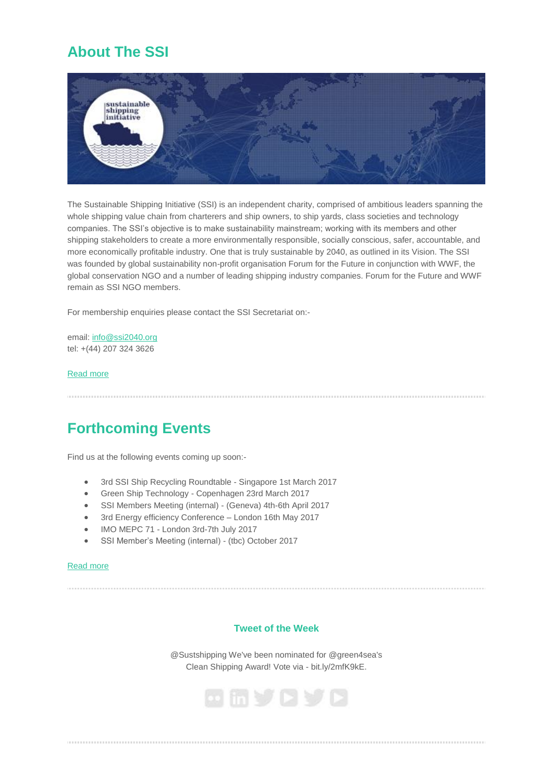## **About The SSI**



The Sustainable Shipping Initiative (SSI) is an independent charity, comprised of ambitious leaders spanning the whole shipping value chain from charterers and ship owners, to ship yards, class societies and technology companies. The SSI's objective is to make sustainability mainstream; working with its members and other shipping stakeholders to create a more environmentally responsible, socially conscious, safer, accountable, and more economically profitable industry. One that is truly sustainable by 2040, as outlined in its Vision. The SSI was founded by global sustainability non-profit organisation Forum for the Future in conjunction with WWF, the global conservation NGO and a number of leading shipping industry companies. Forum for the Future and WWF remain as SSI NGO members.

For membership enquiries please contact the SSI Secretariat on:-

email: [info@ssi2040.org](mailto:info@ssi2040.org) tel: +(44) 207 324 3626

### [Read more](http://ssi2040.us14.list-manage2.com/track/click?u=91589a575aa721fdb318d4c42&id=017460324b&e=7cdcdcd64a)

## **Forthcoming Events**

Find us at the following events coming up soon:-

- 3rd SSI Ship Recycling Roundtable Singapore 1st March 2017
- Green Ship Technology Copenhagen 23rd March 2017
- SSI Members Meeting (internal) (Geneva) 4th-6th April 2017
- 3rd Energy efficiency Conference London 16th May 2017
- IMO MEPC 71 London 3rd-7th July 2017
- SSI Member's Meeting (internal) (tbc) October 2017

#### [Read more](http://ssi2040.us14.list-manage2.com/track/click?u=91589a575aa721fdb318d4c42&id=4c9269f866&e=7cdcdcd64a)

### **Tweet of the Week**

@Sustshipping We've been nominated for @green4sea's Clean Shipping Award! Vote via - bit.ly/2mfK9kE.